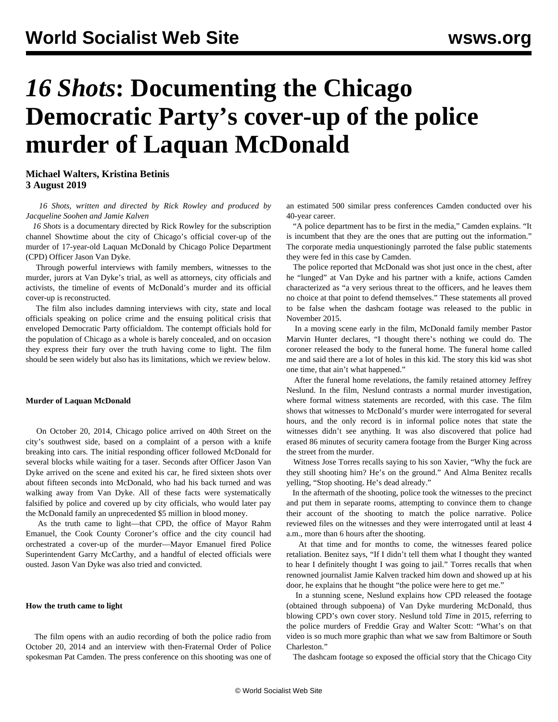# *16 Shots***: Documenting the Chicago Democratic Party's cover-up of the police murder of Laquan McDonald**

**Michael Walters, Kristina Betinis 3 August 2019**

 *16 Shots, written and directed by Rick Rowley and produced by Jacqueline Soohen and Jamie Kalven*

 *16 Shots* is a documentary directed by Rick Rowley for the subscription channel Showtime about the city of Chicago's official cover-up of the murder of 17-year-old Laquan McDonald by Chicago Police Department (CPD) Officer Jason Van Dyke.

 Through powerful interviews with family members, witnesses to the murder, jurors at Van Dyke's trial, as well as attorneys, city officials and activists, the timeline of events of McDonald's murder and its official cover-up is reconstructed.

 The film also includes damning interviews with city, state and local officials speaking on police crime and the ensuing political crisis that enveloped Democratic Party officialdom. The contempt officials hold for the population of Chicago as a whole is barely concealed, and on occasion they express their fury over the truth having come to light. The film should be seen widely but also has its limitations, which we review below.

#### **Murder of Laquan McDonald**

 On October 20, 2014, Chicago police arrived on 40th Street on the city's southwest side, based on a complaint of a person with a knife breaking into cars. The initial responding officer followed McDonald for several blocks while waiting for a taser. Seconds after Officer Jason Van Dyke arrived on the scene and exited his car, he fired sixteen shots over about fifteen seconds into McDonald, who had his back turned and was walking away from Van Dyke. All of these facts were systematically falsified by police and covered up by city officials, who would later pay the McDonald family an unprecedented \$5 million in blood money.

 As the truth came to light—that CPD, the office of Mayor Rahm Emanuel, the Cook County Coroner's office and the city council had orchestrated a cover-up of the murder—Mayor Emanuel fired Police Superintendent Garry McCarthy, and a handful of elected officials were ousted. Jason Van Dyke was also tried and convicted.

### **How the truth came to light**

 The film opens with an audio recording of both the police radio from October 20, 2014 and an interview with then-Fraternal Order of Police spokesman Pat Camden. The press conference on this shooting was one of an estimated 500 similar press conferences Camden conducted over his 40-year career.

 "A police department has to be first in the media," Camden explains. "It is incumbent that they are the ones that are putting out the information." The corporate media unquestioningly parroted the false public statements they were fed in this case by Camden.

 The police reported that McDonald was shot just once in the chest, after he "lunged" at Van Dyke and his partner with a knife, actions Camden characterized as "a very serious threat to the officers, and he leaves them no choice at that point to defend themselves." These statements all proved to be false when the dashcam footage was released to the public in November 2015.

 In a moving scene early in the film, McDonald family member Pastor Marvin Hunter declares, "I thought there's nothing we could do. The coroner released the body to the funeral home. The funeral home called me and said there are a lot of holes in this kid. The story this kid was shot one time, that ain't what happened."

 After the funeral home revelations, the family retained attorney Jeffrey Neslund. In the film, Neslund contrasts a normal murder investigation, where formal witness statements are recorded, with this case. The film shows that witnesses to McDonald's murder were interrogated for several hours, and the only record is in informal police notes that state the witnesses didn't see anything. It was also discovered that police had erased 86 minutes of security camera footage from the Burger King across the street from the murder.

 Witness Jose Torres recalls saying to his son Xavier, "Why the fuck are they still shooting him? He's on the ground." And Alma Benitez recalls yelling, "Stop shooting. He's dead already."

 In the aftermath of the shooting, police took the witnesses to the precinct and put them in separate rooms, attempting to convince them to change their account of the shooting to match the police narrative. Police reviewed files on the witnesses and they were interrogated until at least 4 a.m., more than 6 hours after the shooting.

 At that time and for months to come, the witnesses feared police retaliation. Benitez says, "If I didn't tell them what I thought they wanted to hear I definitely thought I was going to jail." Torres recalls that when renowned journalist Jamie Kalven tracked him down and showed up at his door, he explains that he thought "the police were here to get me."

 In a stunning scene, Neslund explains how CPD released the footage (obtained through subpoena) of Van Dyke murdering McDonald, thus blowing CPD's own cover story. Neslund told *Time* in 2015, referring to the police murders of Freddie Gray and Walter Scott: "What's on that video is so much more graphic than what we saw from Baltimore or South Charleston."

The dashcam footage so exposed the official story that the Chicago City